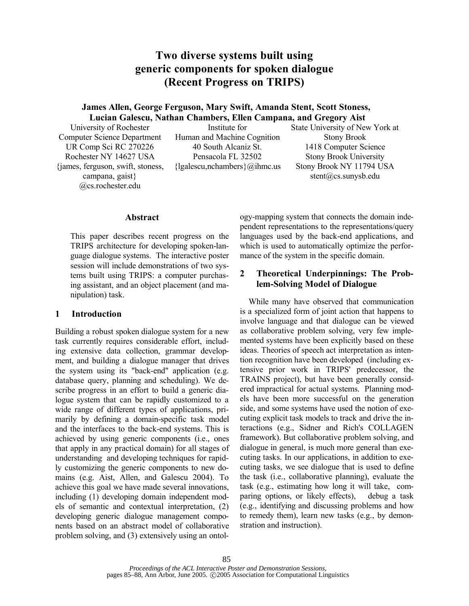# **Two diverse systems built using generic components for spoken dialogue (Recent Progress on TRIPS)**

### **James Allen, George Ferguson, Mary Swift, Amanda Stent, Scott Stoness, Lucian Galescu, Nathan Chambers, Ellen Campana, and Gregory Aist**

University of Rochester Computer Science Department UR Comp Sci RC 270226 Rochester NY 14627 USA {james, ferguson, swift, stoness, campana, gaist} @cs.rochester.edu

Institute for Human and Machine Cognition 40 South Alcaniz St. Pensacola FL 32502  ${lgalescu, nchambers}$  $@ihmc.us$  State University of New York at Stony Brook 1418 Computer Science Stony Brook University Stony Brook NY 11794 USA stent@cs.sunysb.edu

#### **Abstract**

This paper describes recent progress on the TRIPS architecture for developing spoken-language dialogue systems. The interactive poster session will include demonstrations of two systems built using TRIPS: a computer purchasing assistant, and an object placement (and manipulation) task.

### **1 Introduction**

Building a robust spoken dialogue system for a new task currently requires considerable effort, including extensive data collection, grammar development, and building a dialogue manager that drives the system using its "back-end" application (e.g. database query, planning and scheduling). We describe progress in an effort to build a generic dialogue system that can be rapidly customized to a wide range of different types of applications, primarily by defining a domain-specific task model and the interfaces to the back-end systems. This is achieved by using generic components (i.e., ones that apply in any practical domain) for all stages of understanding and developing techniques for rapidly customizing the generic components to new domains (e.g. Aist, Allen, and Galescu 2004). To achieve this goal we have made several innovations, including (1) developing domain independent models of semantic and contextual interpretation, (2) developing generic dialogue management components based on an abstract model of collaborative problem solving, and (3) extensively using an ontology-mapping system that connects the domain independent representations to the representations/query languages used by the back-end applications, and which is used to automatically optimize the performance of the system in the specific domain.

### **2 Theoretical Underpinnings: The Problem-Solving Model of Dialogue**

While many have observed that communication is a specialized form of joint action that happens to involve language and that dialogue can be viewed as collaborative problem solving, very few implemented systems have been explicitly based on these ideas. Theories of speech act interpretation as intention recognition have been developed (including extensive prior work in TRIPS' predecessor, the TRAINS project), but have been generally considered impractical for actual systems. Planning models have been more successful on the generation side, and some systems have used the notion of executing explicit task models to track and drive the interactions (e.g., Sidner and Rich's COLLAGEN framework). But collaborative problem solving, and dialogue in general, is much more general than executing tasks. In our applications, in addition to executing tasks, we see dialogue that is used to define the task (i.e., collaborative planning), evaluate the task (e.g., estimating how long it will take, comparing options, or likely effects), debug a task (e.g., identifying and discussing problems and how to remedy them), learn new tasks (e.g., by demonstration and instruction).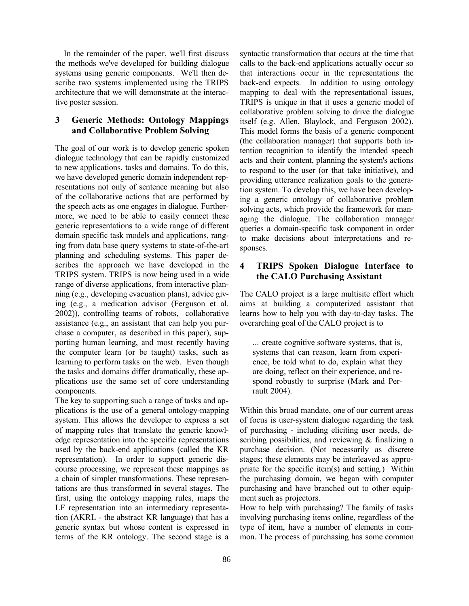In the remainder of the paper, we'll first discuss the methods we've developed for building dialogue systems using generic components. We'll then describe two systems implemented using the TRIPS architecture that we will demonstrate at the interactive poster session.

## **3 Generic Methods: Ontology Mappings and Collaborative Problem Solving**

The goal of our work is to develop generic spoken dialogue technology that can be rapidly customized to new applications, tasks and domains. To do this, we have developed generic domain independent representations not only of sentence meaning but also of the collaborative actions that are performed by the speech acts as one engages in dialogue. Furthermore, we need to be able to easily connect these generic representations to a wide range of different domain specific task models and applications, ranging from data base query systems to state-of-the-art planning and scheduling systems. This paper describes the approach we have developed in the TRIPS system. TRIPS is now being used in a wide range of diverse applications, from interactive planning (e.g., developing evacuation plans), advice giving (e.g., a medication advisor (Ferguson et al. 2002)), controlling teams of robots, collaborative assistance (e.g., an assistant that can help you purchase a computer, as described in this paper), supporting human learning, and most recently having the computer learn (or be taught) tasks, such as learning to perform tasks on the web. Even though the tasks and domains differ dramatically, these applications use the same set of core understanding components.

The key to supporting such a range of tasks and applications is the use of a general ontology-mapping system. This allows the developer to express a set of mapping rules that translate the generic knowledge representation into the specific representations used by the back-end applications (called the KR representation). In order to support generic discourse processing, we represent these mappings as a chain of simpler transformations. These representations are thus transformed in several stages. The first, using the ontology mapping rules, maps the LF representation into an intermediary representation (AKRL - the abstract KR language) that has a generic syntax but whose content is expressed in terms of the KR ontology. The second stage is a syntactic transformation that occurs at the time that calls to the back-end applications actually occur so that interactions occur in the representations the back-end expects. In addition to using ontology mapping to deal with the representational issues, TRIPS is unique in that it uses a generic model of collaborative problem solving to drive the dialogue itself (e.g. Allen, Blaylock, and Ferguson 2002). This model forms the basis of a generic component (the collaboration manager) that supports both intention recognition to identify the intended speech acts and their content, planning the system's actions to respond to the user (or that take initiative), and providing utterance realization goals to the generation system. To develop this, we have been developing a generic ontology of collaborative problem solving acts, which provide the framework for managing the dialogue. The collaboration manager queries a domain-specific task component in order to make decisions about interpretations and responses.

### **4 TRIPS Spoken Dialogue Interface to the CALO Purchasing Assistant**

The CALO project is a large multisite effort which aims at building a computerized assistant that learns how to help you with day-to-day tasks. The overarching goal of the CALO project is to

... create cognitive software systems, that is, systems that can reason, learn from experience, be told what to do, explain what they are doing, reflect on their experience, and respond robustly to surprise (Mark and Perrault 2004).

Within this broad mandate, one of our current areas of focus is user-system dialogue regarding the task of purchasing - including eliciting user needs, describing possibilities, and reviewing & finalizing a purchase decision. (Not necessarily as discrete stages; these elements may be interleaved as appropriate for the specific item(s) and setting.) Within the purchasing domain, we began with computer purchasing and have branched out to other equipment such as projectors.

How to help with purchasing? The family of tasks involving purchasing items online, regardless of the type of item, have a number of elements in common. The process of purchasing has some common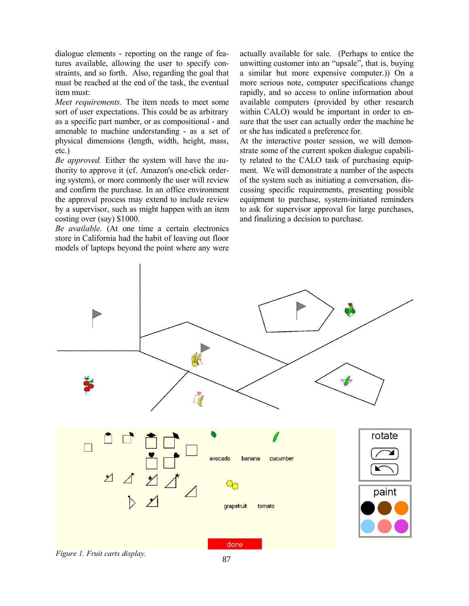dialogue elements - reporting on the range of features available, allowing the user to specify constraints, and so forth. Also, regarding the goal that must be reached at the end of the task, the eventual item must:

*Meet requirements.* The item needs to meet some sort of user expectations. This could be as arbitrary as a specific part number, or as compositional - and amenable to machine understanding - as a set of physical dimensions (length, width, height, mass, etc.)

*Be approved.* Either the system will have the authority to approve it (cf. Amazon's one-click ordering system), or more commonly the user will review and confirm the purchase. In an office environment the approval process may extend to include review by a supervisor, such as might happen with an item costing over (say) \$1000.

*Be available.* (At one time a certain electronics store in California had the habit of leaving out floor models of laptops beyond the point where any were actually available for sale. (Perhaps to entice the unwitting customer into an "upsale", that is, buying a similar but more expensive computer.)) On a more serious note, computer specifications change rapidly, and so access to online information about available computers (provided by other research within CALO) would be important in order to ensure that the user can actually order the machine he or she has indicated a preference for.

At the interactive poster session, we will demonstrate some of the current spoken dialogue capability related to the CALO task of purchasing equipment. We will demonstrate a number of the aspects of the system such as initiating a conversation, discussing specific requirements, presenting possible equipment to purchase, system-initiated reminders to ask for supervisor approval for large purchases, and finalizing a decision to purchase.